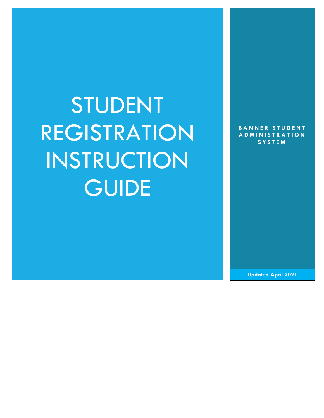# STUDENT REGISTRATION INSTRUCTION **GUIDE**

**BANNER STUDENT A D M I N I S T R A T I O N S Y S T E M**

**Updated April 2021**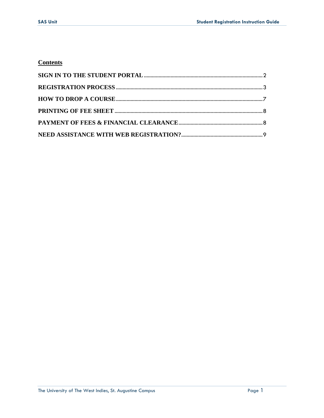## **Contents**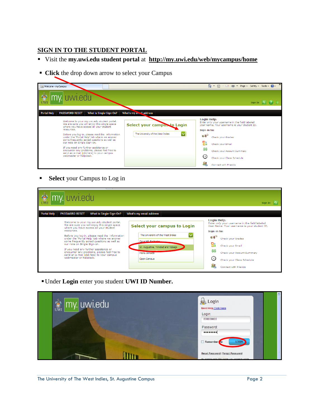## <span id="page-2-0"></span>**SIGN IN TO THE STUDENT PORTAL**

- Visit the **my.uwi.edu student portal** at **<http://my.uwi.edu/web/mycampus/home>**
- **Click** the drop down arrow to select your Campus

| my Welcome - myCampus                                                                                                                                                                                                                                                                                                                                                                                                                                                                            |                                                                  | ☆ 同 □ ● · Page · Safety · Tools · ● ·                                                                                                                                                                                                                                             | $\rightarrow$ |
|--------------------------------------------------------------------------------------------------------------------------------------------------------------------------------------------------------------------------------------------------------------------------------------------------------------------------------------------------------------------------------------------------------------------------------------------------------------------------------------------------|------------------------------------------------------------------|-----------------------------------------------------------------------------------------------------------------------------------------------------------------------------------------------------------------------------------------------------------------------------------|---------------|
| 鸞<br><b>Portal Help</b><br>What is Single-Sign-On?<br><b>PASSWORD RESET</b>                                                                                                                                                                                                                                                                                                                                                                                                                      | What's my en. il address                                         | Sign In                                                                                                                                                                                                                                                                           |               |
| Welcome to your my.uwi.edu student portal.<br>We are sure you will enjoy this single space<br>where you have access all your student<br>resources.<br>Before you log-in, please read the information<br>under the 'Portal Help' tab where we answer<br>some frequently asked questions as well as<br>our note on Single Sign-on.<br>If you need any further assistance or<br>encounter any problems, please feel free to<br>send an e-mail [click here] to your campus<br>webmaster or helpdesk. | Select your campus to Login<br>The University of the West Indies | <b>Login Help:</b><br>Enter only your username in the field labeled<br>User Name. Your username is your student ID.<br>Sign-in to:<br>Check vour Grades<br>鴨<br>Check your Email<br>\$\$<br>Check your Account Summary<br>€⇔<br>Check your Class Schedule<br>Connect with Friends |               |

**Select** your Campus to Log in

| 意义                 | my uwledu                                                                                                                                                                                                                                                                                                                                                                                                                                                                                       |                                                                                                                                                             | Sign In                                                                                                                                                                                                                                                                      |
|--------------------|-------------------------------------------------------------------------------------------------------------------------------------------------------------------------------------------------------------------------------------------------------------------------------------------------------------------------------------------------------------------------------------------------------------------------------------------------------------------------------------------------|-------------------------------------------------------------------------------------------------------------------------------------------------------------|------------------------------------------------------------------------------------------------------------------------------------------------------------------------------------------------------------------------------------------------------------------------------|
| <b>Portal Help</b> | What is Single-Sign-On?<br><b>PASSWORD RESET</b>                                                                                                                                                                                                                                                                                                                                                                                                                                                | What's my email address                                                                                                                                     |                                                                                                                                                                                                                                                                              |
|                    | Welcome to your my.uwi.edu student portal.<br>We are sure you will enjoy this single space<br>where you have access all your student<br>resources.<br>Before you log-in, please read the information<br>under the 'Portal Help' tab where we answer<br>some frequently asked questions as well as<br>our note on Single Sign-on.<br>If you need any further assistance or<br>encounter any problems, please feel free to<br>send an e-mail [dick here] to your campus<br>webmaster or helpdesk. | Select your campus to Login<br>The University of the West Indies<br>Cave Hill Rachados<br>St. Augustine, Trinidad and Tobago<br>Mona Jamaica<br>Open Campus | <b>Login Help:</b><br>Enter only your username in the field labeled<br>User Name. Your username is your student ID.<br>Sign-in to:<br>Check your Grades<br>Check your Email<br>\$Ŝ<br>Check your Account Summary<br>(<)<br>Check your Class Schedule<br>Connect with Friends |

Under **Login** enter you student **UWI ID Number.**

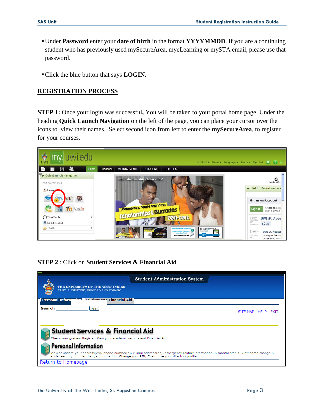- Under **Password** enter your **date of birth** in the format **YYYYMMDD**. If you are a continuing student who has previously used mySecureArea, myeLearning or mySTA email, please use that password.
- Click the blue button that says **LOGIN.**

#### <span id="page-3-0"></span>**REGISTRATION PROCESS**

**STEP 1:** Once your login was successful**,** You will be taken to your portal home page. Under the heading **Quick Launch Navigation** on the left of the page, you can place your cursor over the icons to view their names. Select second icon from left to enter the **mySecureArea**, to register for your courses.



#### **STEP 2** : Click on **Student Services & Financial Aid**

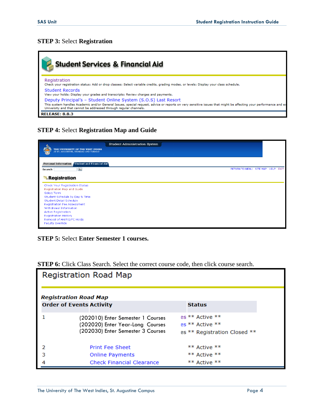## **STEP 3:** Select **Registration**

| <b>Student Services &amp; Financial Aid</b>                                                                                                                                                                                                                                                            |
|--------------------------------------------------------------------------------------------------------------------------------------------------------------------------------------------------------------------------------------------------------------------------------------------------------|
| Registration<br>Check your registration status; Add or drop classes; Select variable credits, grading modes, or levels; Display your class schedule.                                                                                                                                                   |
| Student Records<br>View your holds; Display your grades and transcripts; Review charges and payments.                                                                                                                                                                                                  |
| Deputy Principal's - Student Online System (S.O.S) Last Resort<br>This system handles Academic and/or General Issues, special request, advice or reports on very sensitive issues that might be affecting your performance and ex<br>University and that cannot be addressed through regular channels. |
| <b>RELEASE: 8.8.3</b>                                                                                                                                                                                                                                                                                  |

## **STEP 4:** Select **Registration Map and Guide**

|                                                                            | Student Administration System     |  |
|----------------------------------------------------------------------------|-----------------------------------|--|
| THE UNIVERSITY OF THE WEST INDIES<br>AT ST. AUGUSTINE, TRINIDAD AND TOBAGO |                                   |  |
| Personal Information Student and Financial Aid                             |                                   |  |
| $\boxed{60}$<br>Search                                                     | RETURN TO MENU SITE MAP HELP EXIT |  |
| <b>Registration</b>                                                        |                                   |  |
| Check Your Registration Status                                             |                                   |  |
| Registration Map and Guide                                                 |                                   |  |
| Select Term<br>Student Schedule by Day & Time                              |                                   |  |
| Student Detail Schedule                                                    |                                   |  |
| <b>Registration Fee Assessment</b>                                         |                                   |  |
| Withdrawal Information                                                     |                                   |  |
| Active Registration                                                        |                                   |  |
| Registration History                                                       |                                   |  |
| Removal of AH/RG/FC Holds                                                  |                                   |  |
| Faculty Override                                                           |                                   |  |

## **STEP 5:** Select **Enter Semester 1 courses.**

|  |  |  |  |  |  | <b>STEP 6:</b> Click Class Search. Select the correct course code, then click course search. |  |  |  |  |  |
|--|--|--|--|--|--|----------------------------------------------------------------------------------------------|--|--|--|--|--|
|--|--|--|--|--|--|----------------------------------------------------------------------------------------------|--|--|--|--|--|

|   | Registration Road Map                                                                                      |                                                                    |
|---|------------------------------------------------------------------------------------------------------------|--------------------------------------------------------------------|
|   | <b>Registration Road Map</b><br><b>Order of Events Activity</b>                                            | <b>Status</b>                                                      |
|   | (202010) Enter Semester 1 Courses<br>(202020) Enter Year-Long Courses<br>(202030) Enter Semester 3 Courses | es ** Active **<br>es ** Active **<br>es ** Registration Closed ** |
|   | <b>Print Fee Sheet</b>                                                                                     | ** Active **                                                       |
| з | <b>Online Payments</b>                                                                                     | ** Active **                                                       |
|   | <b>Check Financial Clearance</b>                                                                           | ** Active **                                                       |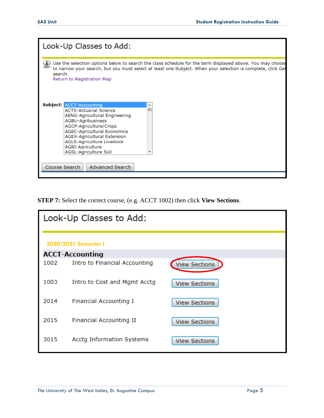

**STEP 7:** Select the correct course, (e.g. ACCT 1002) then click **View Sections**.

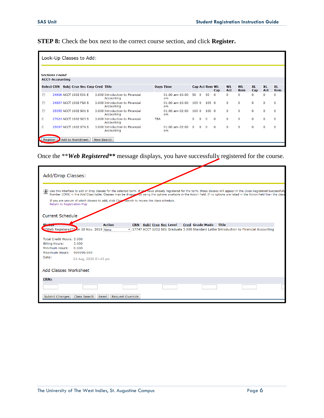**STEP 8:** Check the box next to the correct course section, and click **Register.**

| Look-Up Classes to Add: |                       |                  |  |                              |                                               |            |                           |          |          |                       |          |              |              |              |              |           |
|-------------------------|-----------------------|------------------|--|------------------------------|-----------------------------------------------|------------|---------------------------|----------|----------|-----------------------|----------|--------------|--------------|--------------|--------------|-----------|
| <b>Sections Found</b>   |                       |                  |  |                              |                                               |            |                           |          |          |                       |          |              |              |              |              |           |
| <b>ACCT-Accounting</b>  |                       |                  |  | Subj Crse Sec Cmp Cred Title |                                               |            |                           |          |          |                       |          | <b>WL</b>    | <b>WI</b>    | <b>XL</b>    | <b>XI</b>    | <b>XI</b> |
| <b>Select CRN</b>       |                       |                  |  |                              |                                               |            | <b>Days Time</b>          |          |          | <b>Cap Act Rem WL</b> | Cap      | Act          | Rem          | Cap          | Act          | Rem       |
| $\Box$                  | 24806 ACCT 1002 E01 E |                  |  |                              | 3.000 Introduction to Financial<br>Accounting |            | $01:00$ am- $10:00$<br>am | 50       | $\Omega$ | 50                    | $\Omega$ | $\Omega$     | 0            | 0            | $\mathbf{0}$ | 0         |
| $\Box$                  | 24807 ACCT 1002 FSA S |                  |  |                              | 3.000 Introduction to Financial<br>Accounting |            | $01:00$ am- $10:00$<br>am | 105 0    |          | 1050                  |          | $\mathbf{0}$ | $\mathbf{0}$ | $\mathbf{0}$ | $\mathbf 0$  | 0         |
| $\Box$                  | 25555 ACCT 1002 S01 S |                  |  |                              | 3.000 Introduction to Financial<br>Accounting |            | 01:00 am-02:00<br>am      | 1000     |          | 1000                  |          | $\mathbf 0$  | $\Omega$     | $\Omega$     | $\mathbf 0$  | $\bf{0}$  |
| C                       | 27624 ACCT 1002 S03 S |                  |  |                              | 3.000 Introduction to Financial<br>Accounting | <b>TBA</b> |                           | $\Omega$ | $\Omega$ | $\mathbf 0$           | $\Omega$ | $\Omega$     | $\Omega$     | $\Omega$     | $\mathbf 0$  | $\Omega$  |
| C                       | 29097 ACCT 1002 STA S |                  |  |                              | 3.000 Introduction to Financial<br>Accounting |            | $01:00$ am- $02:00$<br>am | $\Omega$ | $\Omega$ | 0                     | $\Omega$ | $\Omega$     | $\Omega$     | $\Omega$     | $\Omega$     | $\Omega$  |
| Register                |                       | Add to WorkSheet |  | New Search                   |                                               |            |                           |          |          |                       |          |              |              |              |              |           |

Once the \*\**Web Registered\*\** message displays, you have successfully registered for the course.

| Add/Drop Classes:                                                                                                                                     |                                                                                             |               |                  |                                |                                                                                                                                                                                                                                                                                                                                                             |              |  |
|-------------------------------------------------------------------------------------------------------------------------------------------------------|---------------------------------------------------------------------------------------------|---------------|------------------|--------------------------------|-------------------------------------------------------------------------------------------------------------------------------------------------------------------------------------------------------------------------------------------------------------------------------------------------------------------------------------------------------------|--------------|--|
| Return to Registration Map                                                                                                                            | If you are unsure of which classes to add, click Class search to review the class schedule. |               |                  |                                | Use this interface to add or drop classes for the selected term. If you have already registered for the term, those classes will appear in the Class Registered Successfully<br>Number (CRN) in the Add Class table. Classes may be dropped by using the options available in the Action field. If no options are listed in the Action field then the class |              |  |
| <b>Current Schedule</b><br>C±-                                                                                                                        |                                                                                             | <b>Action</b> |                  | <b>CRN</b> Subj Crse Sec Level | <b>Cred Grade Mode</b>                                                                                                                                                                                                                                                                                                                                      | <b>Title</b> |  |
| **Web Registered** on 28 Nov, 2019 None<br>Total Credit Hours: 3,000<br><b>Billing Hours:</b><br>Minimum Hours:<br>Maximum Hours: 999999.999<br>Date: | 3.000<br>0.000<br>24 Aug, 2020 01:43 pm                                                     |               |                  |                                | v 17747 ACCT 1002 S01 Graduate 3.000 Standard Letter Introduction to Financial Accounting                                                                                                                                                                                                                                                                   |              |  |
| Add Classes Worksheet                                                                                                                                 |                                                                                             |               |                  |                                |                                                                                                                                                                                                                                                                                                                                                             |              |  |
| <b>CRNs</b><br>Submit Changes                                                                                                                         | Class Search                                                                                | Reset         | Request Override |                                |                                                                                                                                                                                                                                                                                                                                                             |              |  |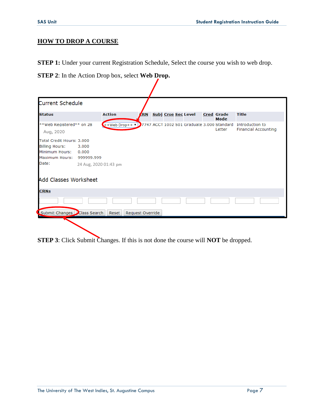## <span id="page-7-0"></span>**HOW TO DROP A COURSE**

**STEP 1:** Under your current Registration Schedule, Select the course you wish to web drop.

**STEP 2**: In the Action Drop box, select **Web Drop.**

| <b>Current Schedule</b>                                                                           |                             |                                                                     |                  |                            |  |                           |                                                |
|---------------------------------------------------------------------------------------------------|-----------------------------|---------------------------------------------------------------------|------------------|----------------------------|--|---------------------------|------------------------------------------------|
| <b>Status</b>                                                                                     |                             | <b>Action</b>                                                       | ZRN              | <b>Subj Crse Sec Level</b> |  | <b>Cred Grade</b><br>Mode | <b>Title</b>                                   |
| **Web Registered** on 28<br>Aug, 2020                                                             |                             | $+$ Web Drop++ $\bullet$ 7747 ACCT 1002 S01 Graduate 3.000 Standard |                  |                            |  | Letter                    | Introduction to<br><b>Financial Accounting</b> |
| Total Credit Hours: 3.000<br><b>Billing Hours:</b><br>Minimum Hours:<br>Maximum Hours: 999999.999 | 3.000<br>0.000              |                                                                     |                  |                            |  |                           |                                                |
| Date:                                                                                             | 24 Aug, 2020 01:43 pm       |                                                                     |                  |                            |  |                           |                                                |
| <b>Add Classes Worksheet</b>                                                                      |                             |                                                                     |                  |                            |  |                           |                                                |
| <b>CRNs</b>                                                                                       |                             |                                                                     |                  |                            |  |                           |                                                |
|                                                                                                   |                             |                                                                     |                  |                            |  |                           |                                                |
|                                                                                                   | Submit Changes Class Search | Reset                                                               | Request Override |                            |  |                           |                                                |

**STEP 3**: Click Submit Changes. If this is not done the course will **NOT** be dropped.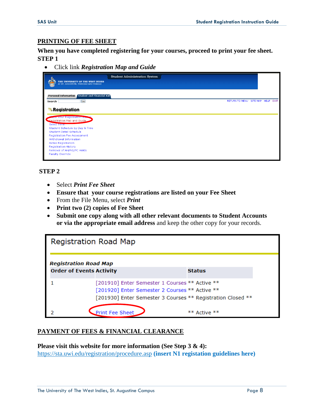#### <span id="page-8-0"></span>**PRINTING OF FEE SHEET**

**When you have completed registering for your courses, proceed to print your fee sheet. STEP 1**

Click link *Registration Map and Guide*

|        | THE UNIVERSITY OF THE WEST INDIES AT ST. AUGUSTINE, TRINIDAD AND TOBAGO | Student Administration System     |  |  |
|--------|-------------------------------------------------------------------------|-----------------------------------|--|--|
|        | Student and Financial Aid<br><b>Personal Information</b>                | RETURN TO MENU SITE MAP HELP EXIT |  |  |
| Search | $\boxed{60}$                                                            |                                   |  |  |
|        | Registration                                                            |                                   |  |  |
|        | <b>CONTOUR KEGISTALION CA</b>                                           |                                   |  |  |
|        | Registration Map and Guide                                              |                                   |  |  |
|        | Select Term                                                             |                                   |  |  |
|        | Student Schedule by Day & Time                                          |                                   |  |  |
|        | Student Detail Schedule                                                 |                                   |  |  |
|        | Registration Fee Assessment                                             |                                   |  |  |
|        | Withdrawal Information                                                  |                                   |  |  |
|        | <b>Active Registration</b>                                              |                                   |  |  |
|        | <b>Registration History</b>                                             |                                   |  |  |
|        | Removal of AH/RG/FC Holds                                               |                                   |  |  |
|        | Faculty Override                                                        |                                   |  |  |
|        |                                                                         |                                   |  |  |

## **STEP 2**

- Select *Print Fee Sheet*
- **Ensure that your course registrations are listed on your Fee Sheet**
- From the File Menu, select *Print*
- **Print two (2) copies of Fee Sheet**
- **Submit one copy along with all other relevant documents to Student Accounts or via the appropriate email address** and keep the other copy for your records.

| Registration Road Map                                           |                                                                                                                                                                 |               |
|-----------------------------------------------------------------|-----------------------------------------------------------------------------------------------------------------------------------------------------------------|---------------|
| <b>Registration Road Map</b><br><b>Order of Events Activity</b> |                                                                                                                                                                 | <b>Status</b> |
|                                                                 | [201910] Enter Semester 1 Courses ** Active **<br>[201920] Enter Semester 2 Courses ** Active **<br>[201930] Enter Semester 3 Courses ** Registration Closed ** |               |
|                                                                 | <b>Print Fee Sheet</b>                                                                                                                                          | ** Active **  |

#### <span id="page-8-1"></span>**PAYMENT OF FEES & FINANCIAL CLEARANCE**

**Please visit this website for more information (See Step 3 & 4):** <https://sta.uwi.edu/registration/procedure.asp> **(insert N1 registation guidelines here)**